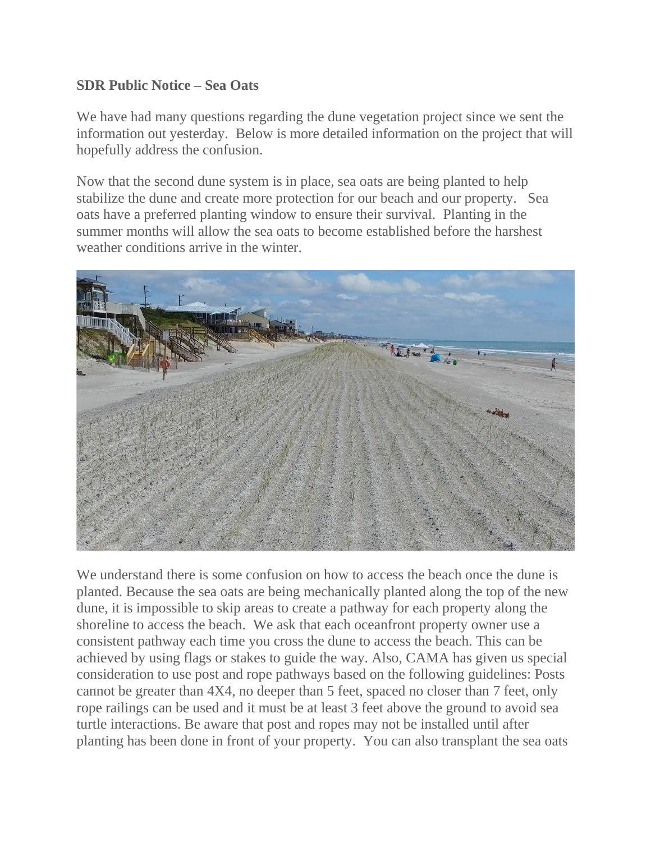## **SDR Public Notice – Sea Oats**

We have had many questions regarding the dune vegetation project since we sent the information out yesterday. Below is more detailed information on the project that will hopefully address the confusion.

Now that the second dune system is in place, sea oats are being planted to help stabilize the dune and create more protection for our beach and our property. Sea oats have a preferred planting window to ensure their survival. Planting in the summer months will allow the sea oats to become established before the harshest weather conditions arrive in the winter.



We understand there is some confusion on how to access the beach once the dune is planted. Because the sea oats are being mechanically planted along the top of the new dune, it is impossible to skip areas to create a pathway for each property along the shoreline to access the beach. We ask that each oceanfront property owner use a consistent pathway each time you cross the dune to access the beach. This can be achieved by using flags or stakes to guide the way. Also, CAMA has given us special consideration to use post and rope pathways based on the following guidelines: Posts cannot be greater than 4X4, no deeper than 5 feet, spaced no closer than 7 feet, only rope railings can be used and it must be at least 3 feet above the ground to avoid sea turtle interactions. Be aware that post and ropes may not be installed until after planting has been done in front of your property. You can also transplant the sea oats